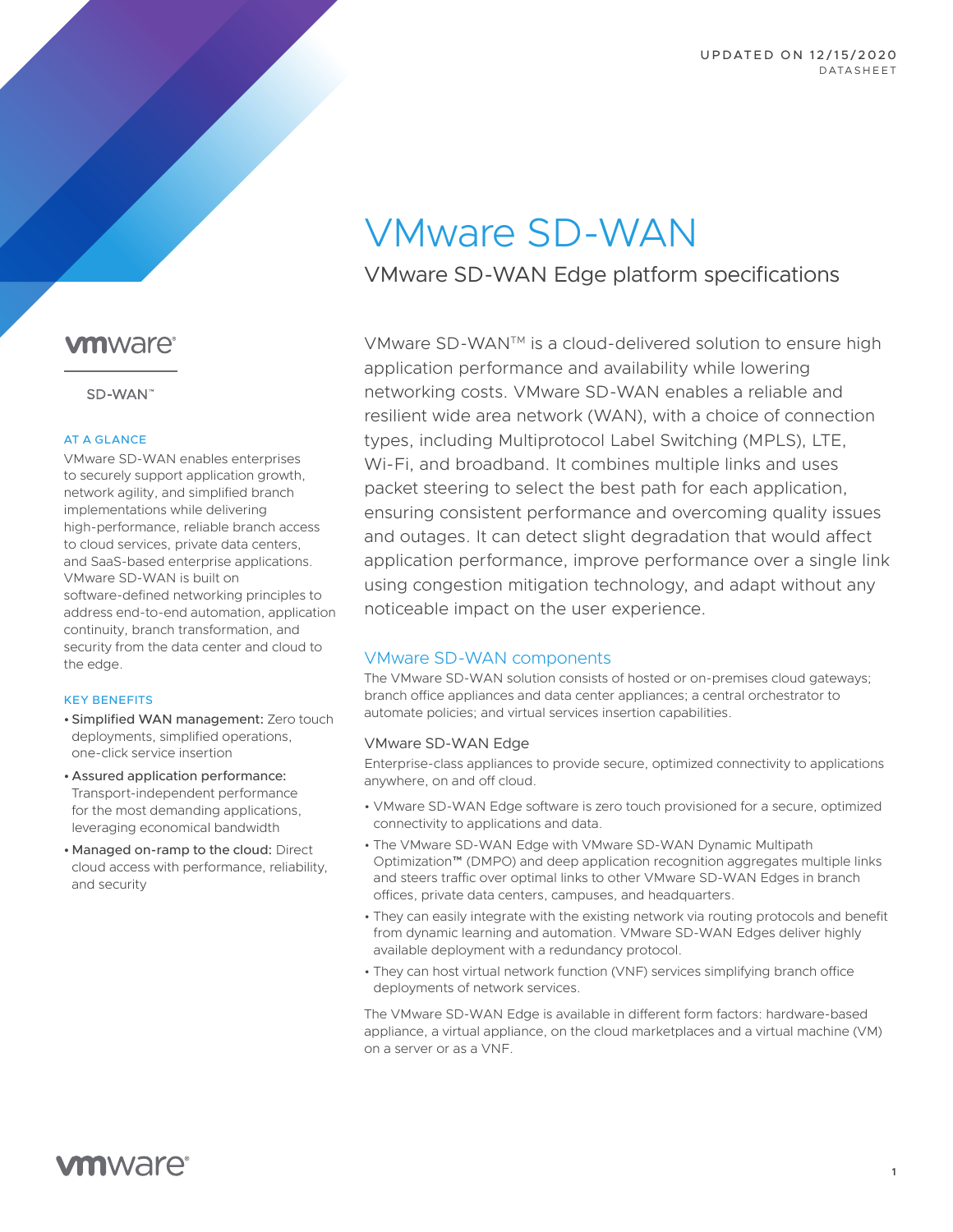# VMware SD-WAN

VMware SD-WAN Edge platform specifications

VMware SD-WANTM is a cloud-delivered solution to ensure high application performance and availability while lowering networking costs. VMware SD-WAN enables a reliable and resilient wide area network (WAN), with a choice of connection types, including Multiprotocol Label Switching (MPLS), LTE, Wi-Fi, and broadband. It combines multiple links and uses packet steering to select the best path for each application, ensuring consistent performance and overcoming quality issues and outages. It can detect slight degradation that would affect application performance, improve performance over a single link using congestion mitigation technology, and adapt without any noticeable impact on the user experience.

## VMware SD-WAN components

The VMware SD-WAN solution consists of hosted or on-premises cloud gateways; branch office appliances and data center appliances; a central orchestrator to automate policies; and virtual services insertion capabilities.

#### VMware SD-WAN Edge

Enterprise-class appliances to provide secure, optimized connectivity to applications anywhere, on and off cloud.

- VMware SD-WAN Edge software is zero touch provisioned for a secure, optimized connectivity to applications and data.
- The VMware SD-WAN Edge with VMware SD-WAN Dynamic Multipath Optimization™ (DMPO) and deep application recognition aggregates multiple links and steers traffic over optimal links to other VMware SD-WAN Edges in branch offices, private data centers, campuses, and headquarters.
- They can easily integrate with the existing network via routing protocols and benefit from dynamic learning and automation. VMware SD-WAN Edges deliver highly available deployment with a redundancy protocol.
- They can host virtual network function (VNF) services simplifying branch office deployments of network services.

The VMware SD-WAN Edge is available in different form factors: hardware-based appliance, a virtual appliance, on the cloud marketplaces and a virtual machine (VM) on a server or as a VNF.

# **vm**ware<sup>®</sup>

SD-WAN"

#### AT A GLANCE

VMware SD-WAN enables enterprises to securely support application growth, network agility, and simplified branch implementations while delivering high-performance, reliable branch access to cloud services, private data centers, and SaaS-based enterprise applications. VMware SD-WAN is built on software-defined networking principles to address end-to-end automation, application continuity, branch transformation, and security from the data center and cloud to the edge.

#### KEY BENEFITS

- Simplified WAN management: Zero touch deployments, simplified operations, one-click service insertion
- Assured application performance: Transport-independent performance for the most demanding applications, leveraging economical bandwidth
- Managed on-ramp to the cloud: Direct cloud access with performance, reliability, and security

**vm**ware<sup>®</sup>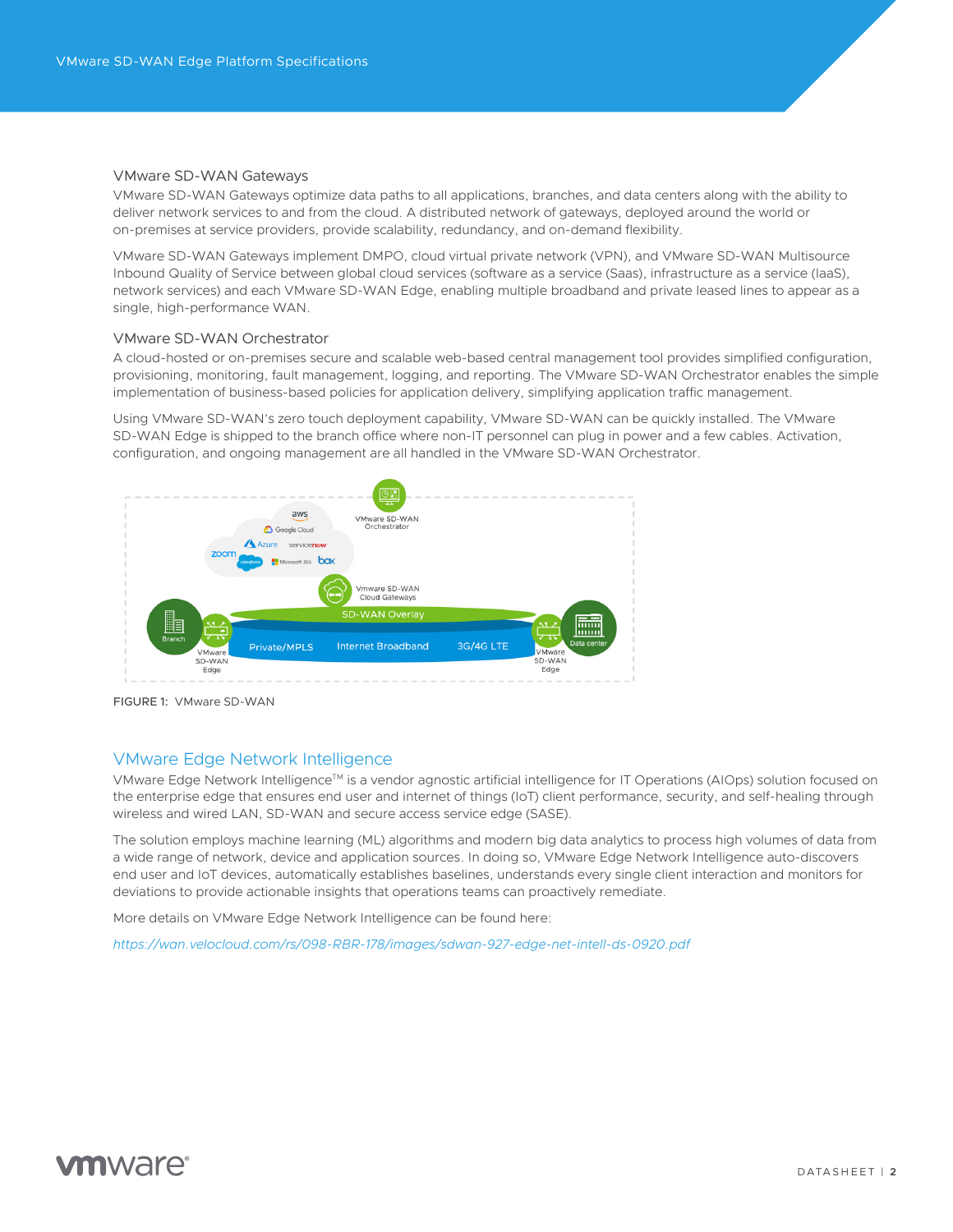#### VMware SD-WAN Gateways

VMware SD-WAN Gateways optimize data paths to all applications, branches, and data centers along with the ability to deliver network services to and from the cloud. A distributed network of gateways, deployed around the world or on-premises at service providers, provide scalability, redundancy, and on-demand flexibility.

VMware SD-WAN Gateways implement DMPO, cloud virtual private network (VPN), and VMware SD-WAN Multisource Inbound Quality of Service between global cloud services (software as a service (Saas), infrastructure as a service (IaaS), network services) and each VMware SD-WAN Edge, enabling multiple broadband and private leased lines to appear as a single, high-performance WAN.

#### VMware SD-WAN Orchestrator

A cloud-hosted or on-premises secure and scalable web-based central management tool provides simplified configuration, provisioning, monitoring, fault management, logging, and reporting. The VMware SD-WAN Orchestrator enables the simple implementation of business-based policies for application delivery, simplifying application traffic management.

Using VMware SD-WAN's zero touch deployment capability, VMware SD-WAN can be quickly installed. The VMware SD-WAN Edge is shipped to the branch office where non-IT personnel can plug in power and a few cables. Activation, configuration, and ongoing management are all handled in the VMware SD-WAN Orchestrator.



FIGURE 1: VMware SD-WAN

#### VMware Edge Network Intelligence

VMware Edge Network Intelligence™ is a vendor agnostic artificial intelligence for IT Operations (AIOps) solution focused on the enterprise edge that ensures end user and internet of things (IoT) client performance, security, and self-healing through wireless and wired LAN, SD-WAN and secure access service edge (SASE).

The solution employs machine learning (ML) algorithms and modern big data analytics to process high volumes of data from a wide range of network, device and application sources. In doing so, VMware Edge Network Intelligence auto-discovers end user and IoT devices, automatically establishes baselines, understands every single client interaction and monitors for deviations to provide actionable insights that operations teams can proactively remediate.

More details on VMware Edge Network Intelligence can be found here:

*<https://wan.velocloud.com/rs/098-RBR-178/images/sdwan-927-edge-net-intell-ds-0920.pdf>*

# **m**ware<sup>®</sup>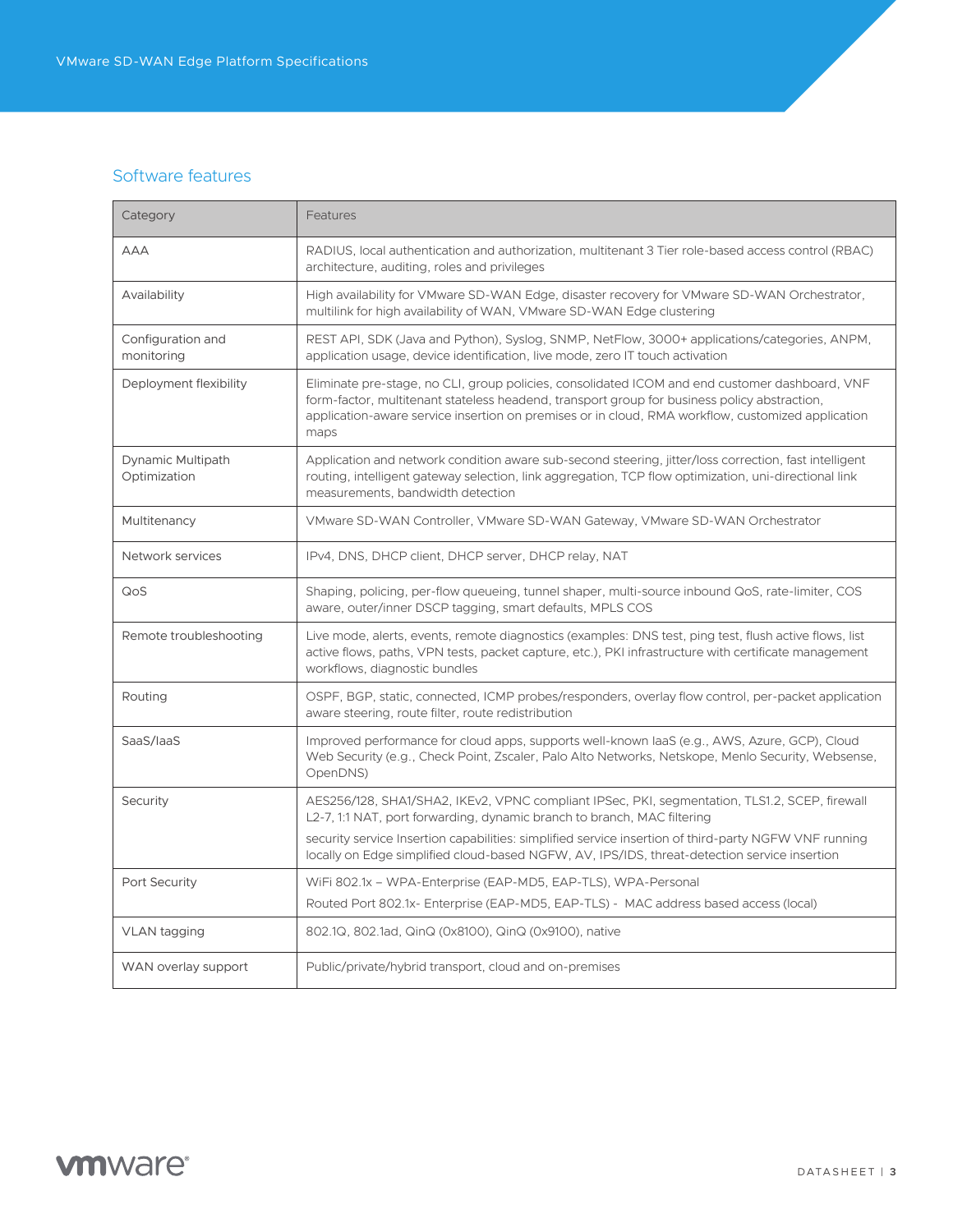# Software features

| Category                          | Features                                                                                                                                                                                                                                                                                                    |
|-----------------------------------|-------------------------------------------------------------------------------------------------------------------------------------------------------------------------------------------------------------------------------------------------------------------------------------------------------------|
| <b>AAA</b>                        | RADIUS, local authentication and authorization, multitenant 3 Tier role-based access control (RBAC)<br>architecture, auditing, roles and privileges                                                                                                                                                         |
| Availability                      | High availability for VMware SD-WAN Edge, disaster recovery for VMware SD-WAN Orchestrator,<br>multilink for high availability of WAN, VMware SD-WAN Edge clustering                                                                                                                                        |
| Configuration and<br>monitoring   | REST API, SDK (Java and Python), Syslog, SNMP, NetFlow, 3000+ applications/categories, ANPM,<br>application usage, device identification, live mode, zero IT touch activation                                                                                                                               |
| Deployment flexibility            | Eliminate pre-stage, no CLI, group policies, consolidated ICOM and end customer dashboard, VNF<br>form-factor, multitenant stateless headend, transport group for business policy abstraction,<br>application-aware service insertion on premises or in cloud, RMA workflow, customized application<br>maps |
| Dynamic Multipath<br>Optimization | Application and network condition aware sub-second steering, jitter/loss correction, fast intelligent<br>routing, intelligent gateway selection, link aggregation, TCP flow optimization, uni-directional link<br>measurements, bandwidth detection                                                         |
| Multitenancy                      | VMware SD-WAN Controller, VMware SD-WAN Gateway, VMware SD-WAN Orchestrator                                                                                                                                                                                                                                 |
| Network services                  | IPv4, DNS, DHCP client, DHCP server, DHCP relay, NAT                                                                                                                                                                                                                                                        |
| QoS                               | Shaping, policing, per-flow queueing, tunnel shaper, multi-source inbound QoS, rate-limiter, COS<br>aware, outer/inner DSCP tagging, smart defaults, MPLS COS                                                                                                                                               |
| Remote troubleshooting            | Live mode, alerts, events, remote diagnostics (examples: DNS test, ping test, flush active flows, list<br>active flows, paths, VPN tests, packet capture, etc.), PKI infrastructure with certificate management<br>workflows, diagnostic bundles                                                            |
| Routing                           | OSPF, BGP, static, connected, ICMP probes/responders, overlay flow control, per-packet application<br>aware steering, route filter, route redistribution                                                                                                                                                    |
| SaaS/laaS                         | Improved performance for cloud apps, supports well-known laaS (e.g., AWS, Azure, GCP), Cloud<br>Web Security (e.g., Check Point, Zscaler, Palo Alto Networks, Netskope, Menlo Security, Websense,<br>OpenDNS)                                                                                               |
| Security                          | AES256/128, SHA1/SHA2, IKEv2, VPNC compliant IPSec, PKI, segmentation, TLS1.2, SCEP, firewall<br>L2-7, 1:1 NAT, port forwarding, dynamic branch to branch, MAC filtering                                                                                                                                    |
|                                   | security service Insertion capabilities: simplified service insertion of third-party NGFW VNF running<br>locally on Edge simplified cloud-based NGFW, AV, IPS/IDS, threat-detection service insertion                                                                                                       |
| Port Security                     | WiFi 802.1x - WPA-Enterprise (EAP-MD5, EAP-TLS), WPA-Personal                                                                                                                                                                                                                                               |
|                                   | Routed Port 802.1x- Enterprise (EAP-MD5, EAP-TLS) - MAC address based access (local)                                                                                                                                                                                                                        |
| VLAN tagging                      | 802.1Q, 802.1ad, QinQ (0x8100), QinQ (0x9100), native                                                                                                                                                                                                                                                       |
| WAN overlay support               | Public/private/hybrid transport, cloud and on-premises                                                                                                                                                                                                                                                      |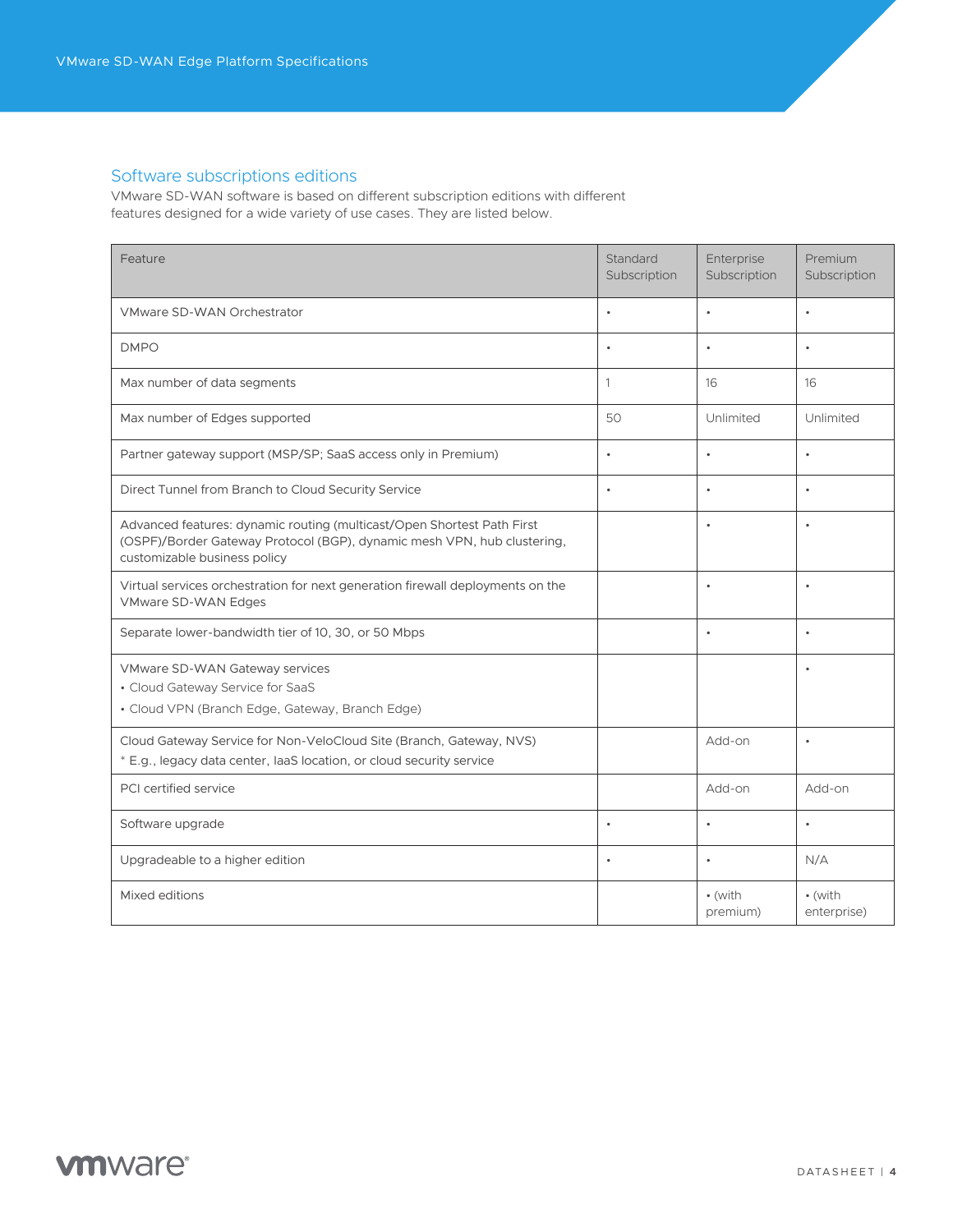# Software subscriptions editions

VMware SD-WAN software is based on different subscription editions with different features designed for a wide variety of use cases. They are listed below.

| Feature                                                                                                                                                                           | Standard<br>Subscription | Enterprise<br>Subscription  | Premium<br>Subscription |
|-----------------------------------------------------------------------------------------------------------------------------------------------------------------------------------|--------------------------|-----------------------------|-------------------------|
| <b>VMware SD-WAN Orchestrator</b>                                                                                                                                                 | $\bullet$                | $\bullet$                   | $\bullet$               |
| <b>DMPO</b>                                                                                                                                                                       | $\bullet$                | $\bullet$                   | $\bullet$               |
| Max number of data segments                                                                                                                                                       | $\mathbf{1}$             | 16                          | 16                      |
| Max number of Edges supported                                                                                                                                                     | 50                       | Unlimited                   | Unlimited               |
| Partner gateway support (MSP/SP; SaaS access only in Premium)                                                                                                                     | $\bullet$                | $\bullet$                   | $\bullet$               |
| Direct Tunnel from Branch to Cloud Security Service                                                                                                                               | $\bullet$                | $\bullet$                   | $\bullet$               |
| Advanced features: dynamic routing (multicast/Open Shortest Path First<br>(OSPF)/Border Gateway Protocol (BGP), dynamic mesh VPN, hub clustering,<br>customizable business policy |                          | $\bullet$                   | $\bullet$               |
| Virtual services orchestration for next generation firewall deployments on the<br>VMware SD-WAN Edges                                                                             |                          | $\bullet$                   | $\bullet$               |
| Separate lower-bandwidth tier of 10, 30, or 50 Mbps                                                                                                                               |                          | $\bullet$                   | $\bullet$               |
| VMware SD-WAN Gateway services<br>• Cloud Gateway Service for SaaS<br>· Cloud VPN (Branch Edge, Gateway, Branch Edge)                                                             |                          |                             | $\bullet$               |
| Cloud Gateway Service for Non-VeloCloud Site (Branch, Gateway, NVS)<br>* E.g., legacy data center, laaS location, or cloud security service                                       |                          | Add-on                      | $\bullet$               |
| PCI certified service                                                                                                                                                             |                          | Add-on                      | Add-on                  |
| Software upgrade                                                                                                                                                                  | $\bullet$                | $\bullet$                   | $\bullet$               |
| Upgradeable to a higher edition                                                                                                                                                   | $\bullet$                | $\bullet$                   | N/A                     |
| Mixed editions                                                                                                                                                                    |                          | $\bullet$ (with<br>premium) | • (with<br>enterprise)  |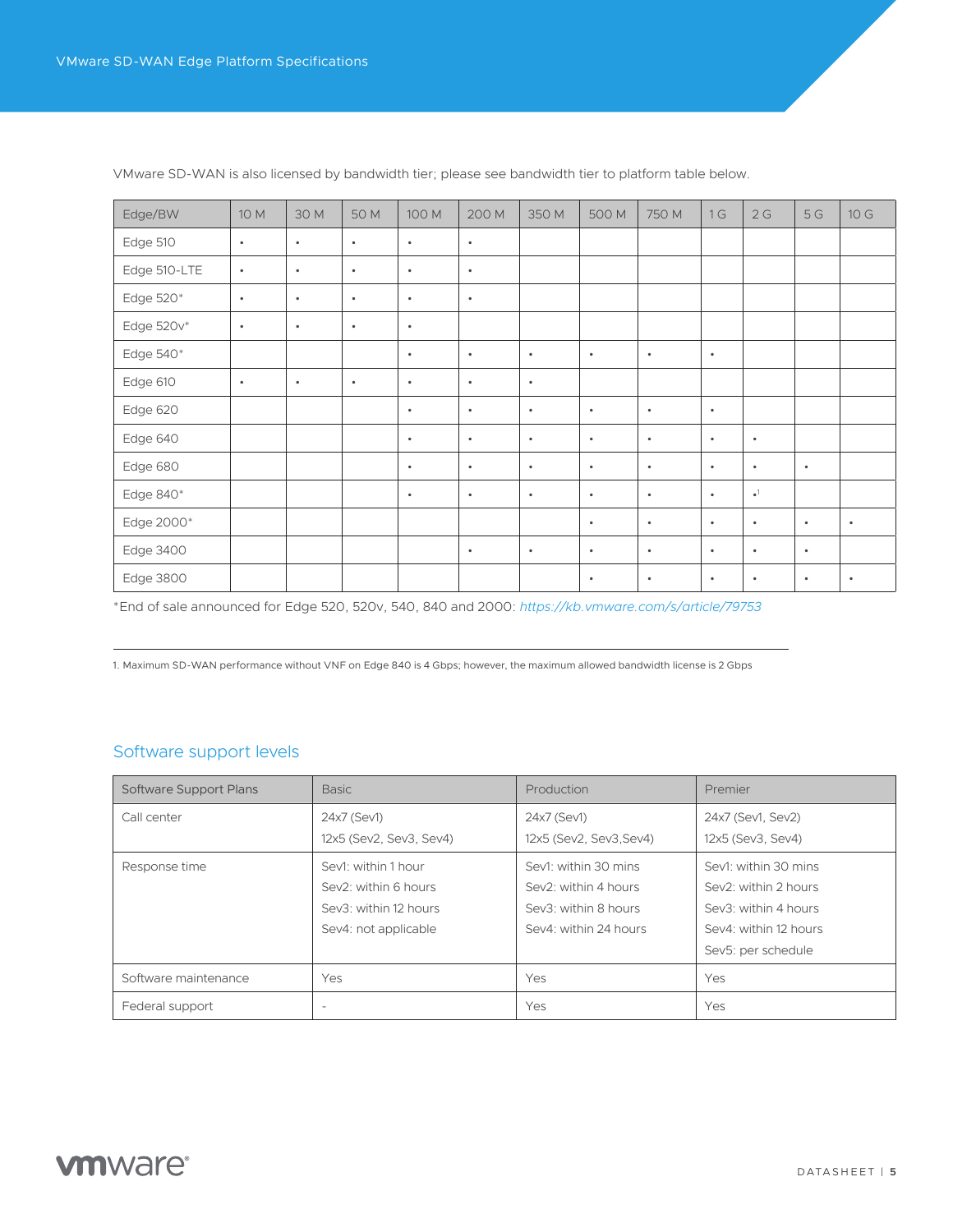| Edge/BW      | 10 M      | 30 M      | 50 M      | 100 M     | 200 M     | 350 M     | 500 M     | 750 M     | 1G        | 2G                     | 5G        | 10 G      |
|--------------|-----------|-----------|-----------|-----------|-----------|-----------|-----------|-----------|-----------|------------------------|-----------|-----------|
| Edge 510     | $\bullet$ | $\bullet$ | $\bullet$ | $\bullet$ | $\bullet$ |           |           |           |           |                        |           |           |
| Edge 510-LTE | $\bullet$ | $\bullet$ | $\bullet$ | $\bullet$ | $\bullet$ |           |           |           |           |                        |           |           |
| Edge 520*    | $\bullet$ | $\bullet$ | $\bullet$ | $\bullet$ | $\bullet$ |           |           |           |           |                        |           |           |
| Edge 520v*   | $\bullet$ | $\bullet$ | $\bullet$ | $\bullet$ |           |           |           |           |           |                        |           |           |
| Edge 540*    |           |           |           | $\bullet$ | $\bullet$ | $\bullet$ | $\bullet$ | $\bullet$ | $\bullet$ |                        |           |           |
| Edge 610     | $\bullet$ | $\bullet$ | $\bullet$ | $\bullet$ | $\bullet$ | $\bullet$ |           |           |           |                        |           |           |
| Edge 620     |           |           |           | $\bullet$ | $\bullet$ | $\bullet$ | $\bullet$ | $\bullet$ | $\bullet$ |                        |           |           |
| Edge 640     |           |           |           | $\bullet$ | $\bullet$ | $\bullet$ | $\bullet$ | $\bullet$ | $\bullet$ | $\bullet$              |           |           |
| Edge 680     |           |           |           | $\bullet$ | $\bullet$ | $\bullet$ | $\bullet$ | $\bullet$ | $\bullet$ | $\bullet$              | $\bullet$ |           |
| Edge 840*    |           |           |           | $\bullet$ | $\bullet$ | $\bullet$ | $\bullet$ | $\bullet$ | $\bullet$ | $\bullet$ <sup>1</sup> |           |           |
| Edge 2000*   |           |           |           |           |           |           | $\bullet$ | $\bullet$ | $\bullet$ | $\bullet$              | $\bullet$ | $\bullet$ |
| Edge 3400    |           |           |           |           | $\bullet$ | $\bullet$ | $\bullet$ | $\bullet$ | $\bullet$ | $\bullet$              | $\bullet$ |           |
| Edge 3800    |           |           |           |           |           |           | $\bullet$ | $\bullet$ | $\bullet$ | $\bullet$              | $\bullet$ | $\bullet$ |

VMware SD-WAN is also licensed by bandwidth tier; please see bandwidth tier to platform table below.

\*End of sale announced for Edge 520, 520v, 540, 840 and 2000: *[https://kb.vmware.com/s/article/79753](https://kb.Vmware.Com/s/article/79753)*

1. Maximum SD-WAN performance without VNF on Edge 840 is 4 Gbps; however, the maximum allowed bandwidth license is 2 Gbps

#### Software support levels

| Software Support Plans | <b>Basic</b>             | Production              | Premier               |
|------------------------|--------------------------|-------------------------|-----------------------|
| Call center            | 24x7 (Sev1)              | 24x7 (Sev1)             | 24x7 (Sev1, Sev2)     |
|                        | 12x5 (Sev2, Sev3, Sev4)  | 12x5 (Sev2, Sev3, Sev4) | 12x5 (Sev3, Sev4)     |
| Response time          | Sev1: within 1 hour      | Sev1: within 30 mins    | Sev1: within 30 mins  |
|                        | Sev2: within 6 hours     | Sev2: within 4 hours    | Sev2: within 2 hours  |
|                        | Sev3: within 12 hours    | Sev3: within 8 hours    | Sev3: within 4 hours  |
|                        | Sev4: not applicable     | Sev4: within 24 hours   | Sev4: within 12 hours |
|                        |                          |                         | Sev5: per schedule    |
| Software maintenance   | Yes                      | Yes                     | Yes                   |
| Federal support        | $\overline{\phantom{a}}$ | Yes                     | Yes                   |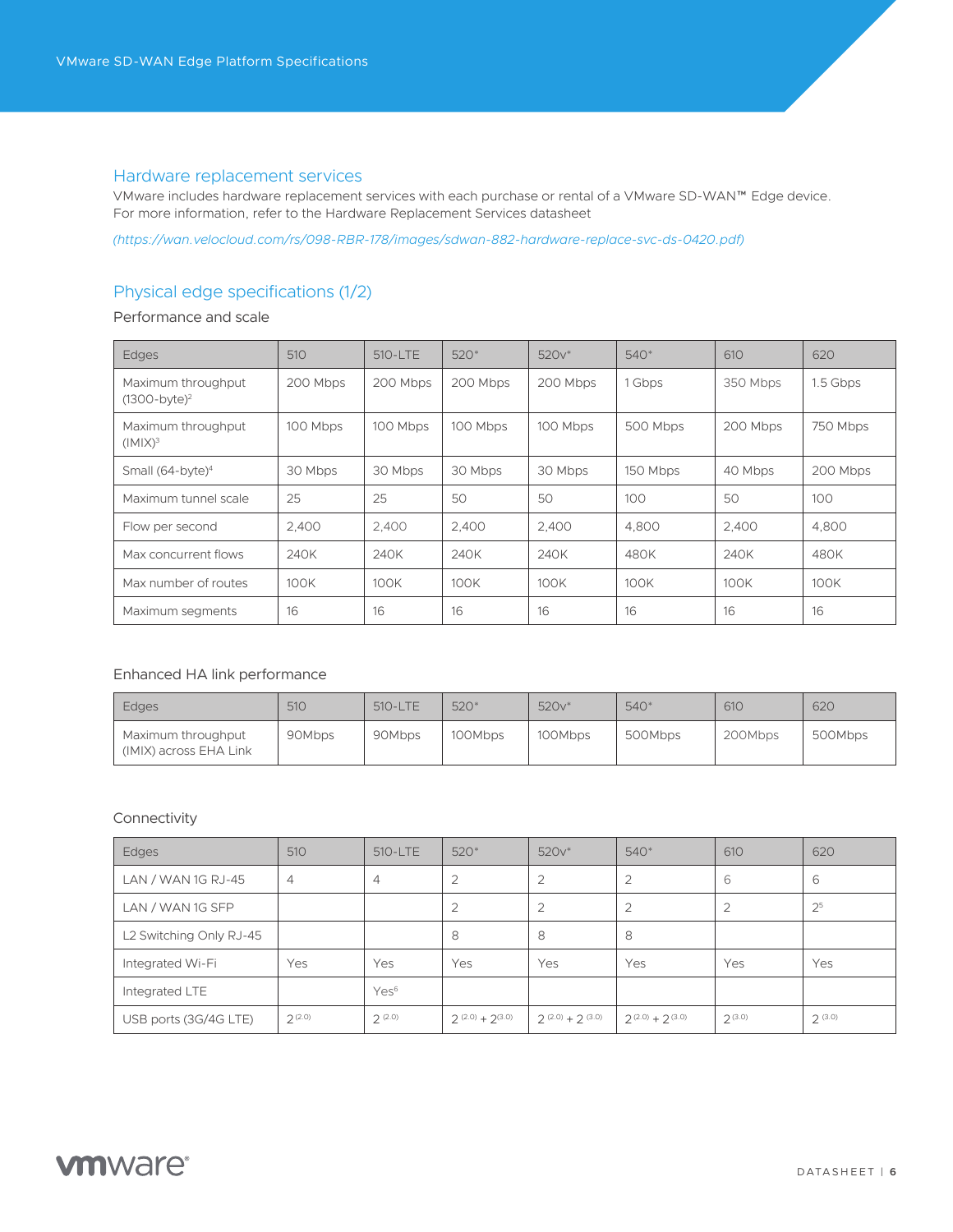#### Hardware replacement services

VMware includes hardware replacement services with each purchase or rental of a VMware SD-WAN™ Edge device. For more information, refer to the Hardware Replacement Services datasheet

*[\(https://wan.velocloud.com/rs/098-RBR-178/images/sdwan-882-hardware-replace-svc-ds-0420.pdf\)]((https://wan.velocloud.com/rs/098-RBR-178/images/sdwan-882-hardware-replace-svc-ds-0420.pdf))*

# Physical edge specifications (1/2)

Performance and scale

| Edges                                     | 510      | 510-LTE  | $520*$   | $520v*$  | $540*$   | 610      | 620      |
|-------------------------------------------|----------|----------|----------|----------|----------|----------|----------|
| Maximum throughput<br>$(1300-bvte)^2$     | 200 Mbps | 200 Mbps | 200 Mbps | 200 Mbps | 1 Gbps   | 350 Mbps | 1.5 Gbps |
| Maximum throughput<br>(IMIX) <sup>3</sup> | 100 Mbps | 100 Mbps | 100 Mbps | 100 Mbps | 500 Mbps | 200 Mbps | 750 Mbps |
| Small (64-byte) <sup>4</sup>              | 30 Mbps  | 30 Mbps  | 30 Mbps  | 30 Mbps  | 150 Mbps | 40 Mbps  | 200 Mbps |
| Maximum tunnel scale                      | 25       | 25       | 50       | 50       | 100      | 50       | 100      |
| Flow per second                           | 2.400    | 2.400    | 2.400    | 2.400    | 4.800    | 2,400    | 4.800    |
| Max concurrent flows                      | 240K     | 240K     | 240K     | 240K     | 480K     | 240K     | 480K     |
| Max number of routes                      | 100K     | 100K     | 100K     | 100K     | 100K     | 100K     | 100K     |
| Maximum segments                          | 16       | 16       | 16       | 16       | 16       | 16       | 16       |

#### Enhanced HA link performance

| Edges                                        | 510    | 510-LTE | $520*$  | 520v*   | 540*    | 610     | 620     |
|----------------------------------------------|--------|---------|---------|---------|---------|---------|---------|
| Maximum throughput<br>(IMIX) across EHA Link | 90Mbps | 90Mbps  | 100Mbps | 100Mbps | 500Mbps | 200Mbps | 500Mbps |

#### Connectivity

| Edges                   | 510            | 510-LTE          | $520*$            | $520v*$           | 540*                    | 610            | 620            |
|-------------------------|----------------|------------------|-------------------|-------------------|-------------------------|----------------|----------------|
| LAN / WAN 1G RJ-45      | $\overline{4}$ | 4                | $\overline{2}$    | $\overline{2}$    | $\overline{2}$          | 6              | 6              |
| LAN / WAN 1G SFP        |                |                  | $\overline{2}$    | 2                 | 2                       | $\overline{2}$ | 2 <sup>5</sup> |
| L2 Switching Only RJ-45 |                |                  | 8                 | 8                 | 8                       |                |                |
| Integrated Wi-Fi        | Yes            | Yes              | Yes               | Yes               | Yes                     | Yes            | Yes            |
| Integrated LTE          |                | Yes <sup>6</sup> |                   |                   |                         |                |                |
| USB ports (3G/4G LTE)   | 2(2.0)         | 2(2.0)           | $2(2.0) + 2(3.0)$ | $2(2.0) + 2(3.0)$ | $2^{(2.0)} + 2^{(3.0)}$ | 2(3.0)         | 2(3.0)         |

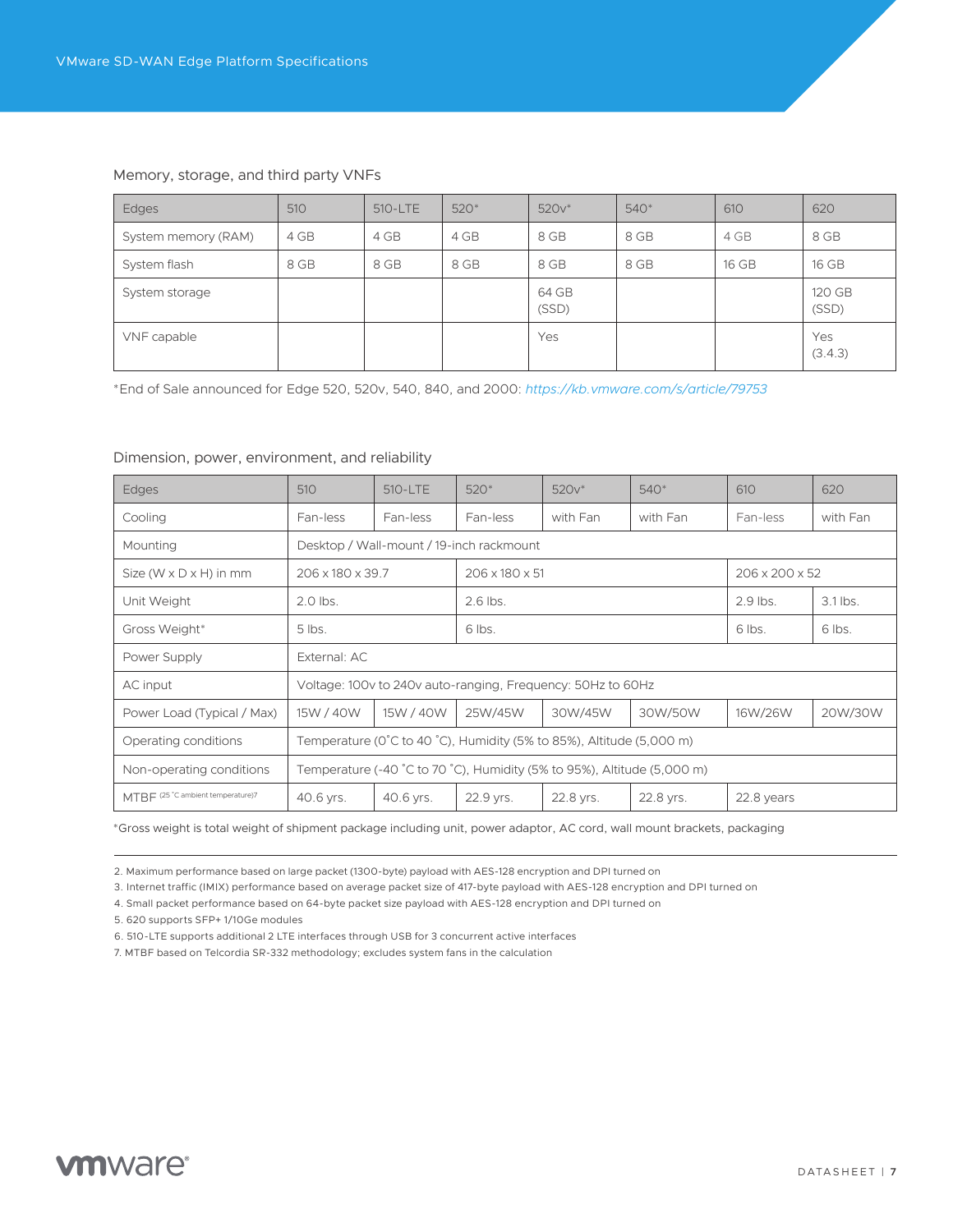| Edges               | 510  | 510-LTE | $520*$ | $520v*$        | $540*$ | 610   | 620             |
|---------------------|------|---------|--------|----------------|--------|-------|-----------------|
| System memory (RAM) | 4 GB | 4 GB    | 4 GB   | 8 GB           | 8 GB   | 4 GB  | 8 GB            |
| System flash        | 8 GB | 8 GB    | 8 GB   | 8 GB           | 8 GB   | 16 GB | 16 GB           |
| System storage      |      |         |        | 64 GB<br>(SSD) |        |       | 120 GB<br>(SSD) |
| VNF capable         |      |         |        | Yes            |        |       | Yes<br>(3.4.3)  |

#### Memory, storage, and third party VNFs

\*End of Sale announced for Edge 520, 520v, 540, 840, and 2000: *<https://kb.vmware.com/s/article/79753>*

#### Dimension, power, environment, and reliability

| <b>Edges</b>                         | 510          | 510-LTE                                                                 | $520*$                                   | $520v*$                                                              | $540*$    | 610                        | 620      |  |
|--------------------------------------|--------------|-------------------------------------------------------------------------|------------------------------------------|----------------------------------------------------------------------|-----------|----------------------------|----------|--|
| Cooling                              | Fan-less     | Fan-less                                                                | Fan-less                                 | with Fan                                                             | with Fan  | Fan-less                   | with Fan |  |
| Mounting                             |              |                                                                         | Desktop / Wall-mount / 19-inch rackmount |                                                                      |           |                            |          |  |
| Size ( $W \times D \times H$ ) in mm |              | 206 x 180 x 39.7<br>$206 \times 180 \times 51$                          |                                          |                                                                      |           | $206 \times 200 \times 52$ |          |  |
| Unit Weight                          | $2.0$ lbs.   |                                                                         | 2.6 lbs.                                 |                                                                      |           | $2.9$ lbs.                 | 3.1 lbs. |  |
| Gross Weight*                        | $5$ lbs.     |                                                                         | 6 lbs.                                   |                                                                      | 6 lbs.    | 6 lbs.                     |          |  |
| Power Supply                         | External: AC |                                                                         |                                          |                                                                      |           |                            |          |  |
| AC input                             |              |                                                                         |                                          | Voltage: 100y to 240y auto-ranging, Frequency: 50Hz to 60Hz          |           |                            |          |  |
| Power Load (Typical / Max)           | 15W / 40W    | 15W / 40W                                                               | 25W/45W                                  | 30W/45W                                                              | 30W/50W   | 16W/26W                    | 20W/30W  |  |
| Operating conditions                 |              |                                                                         |                                          | Temperature (0°C to 40 °C), Humidity (5% to 85%), Altitude (5,000 m) |           |                            |          |  |
| Non-operating conditions             |              | Temperature (-40 °C to 70 °C), Humidity (5% to 95%), Altitude (5,000 m) |                                          |                                                                      |           |                            |          |  |
| MTBF (25 °C ambient temperature)7    | 40.6 yrs.    | 40.6 yrs.                                                               | 22.9 yrs.                                | 22.8 yrs.                                                            | 22.8 yrs. | 22.8 years                 |          |  |

\*Gross weight is total weight of shipment package including unit, power adaptor, AC cord, wall mount brackets, packaging

2. Maximum performance based on large packet (1300-byte) payload with AES-128 encryption and DPI turned on

3. Internet traffic (IMIX) performance based on average packet size of 417-byte payload with AES-128 encryption and DPI turned on

4. Small packet performance based on 64-byte packet size payload with AES-128 encryption and DPI turned on

5. 620 supports SFP+ 1/10Ge modules

6. 510-LTE supports additional 2 LTE interfaces through USB for 3 concurrent active interfaces

7. MTBF based on Telcordia SR-332 methodology; excludes system fans in the calculation

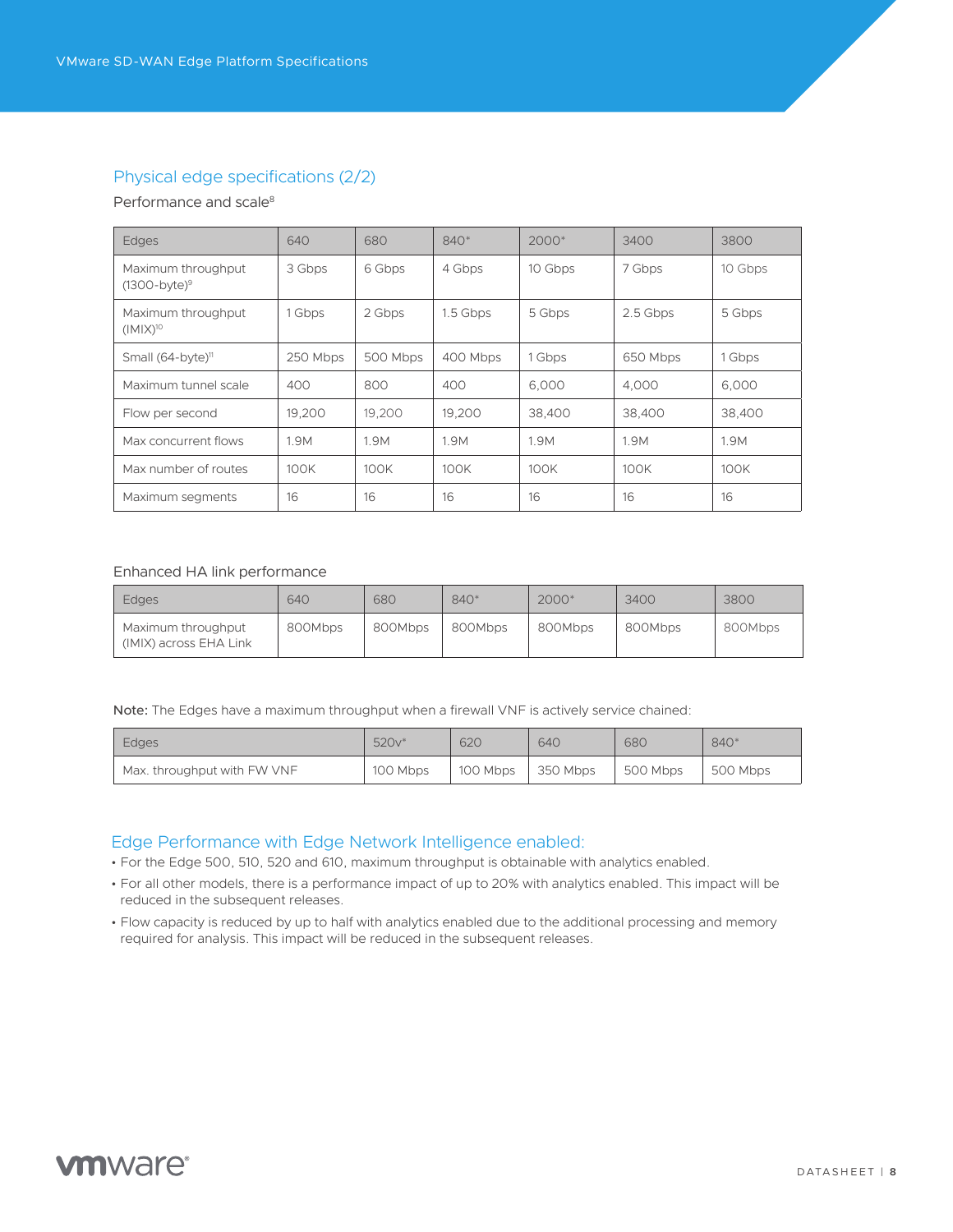### Physical edge specifications (2/2)

#### Performance and scale<sup>8</sup>

| <b>Edges</b>                          | 640      | 680      | $840*$   | $2000*$ | 3400     | 3800    |
|---------------------------------------|----------|----------|----------|---------|----------|---------|
| Maximum throughput<br>$(1300-bvte)^9$ | 3 Gbps   | 6 Gbps   | 4 Gbps   | 10 Gbps | 7 Gbps   | 10 Gbps |
| Maximum throughput<br>$(IMX)^{10}$    | 1 Gbps   | 2 Gbps   | 1.5 Gbps | 5 Gbps  | 2.5 Gbps | 5 Gbps  |
| Small $(64-byte)^n$                   | 250 Mbps | 500 Mbps | 400 Mbps | 1 Gbps  | 650 Mbps | 1 Gbps  |
| Maximum tunnel scale                  | 400      | 800      | 400      | 6.000   | 4.000    | 6,000   |
| Flow per second                       | 19,200   | 19,200   | 19,200   | 38,400  | 38,400   | 38,400  |
| Max concurrent flows                  | 1.9M     | 1.9M     | 1.9M     | 1.9M    | 1.9M     | 1.9M    |
| Max number of routes                  | 100K     | 100K     | 100K     | 100K    | 100K     | 100K    |
| Maximum segments                      | 16       | 16       | 16       | 16      | 16       | 16      |

#### Enhanced HA link performance

| <b>Edges</b>                                 | 640     | 680     | $840*$  | $2000*$ | 3400    | 3800    |
|----------------------------------------------|---------|---------|---------|---------|---------|---------|
| Maximum throughput<br>(IMIX) across EHA Link | 800Mbps | 800Mbps | 800Mbps | 800Mbps | 800Mbps | 800Mbps |

Note: The Edges have a maximum throughput when a firewall VNF is actively service chained:

| <b>Edges</b>                | 520v*    | 62C      | 640      | <b>680</b> | 840*     |
|-----------------------------|----------|----------|----------|------------|----------|
| Max. throughput with FW VNF | 100 Mbps | 100 Mbps | 350 Mbps | 500 Mbps   | 500 Mbps |

#### Edge Performance with Edge Network Intelligence enabled:

- For the Edge 500, 510, 520 and 610, maximum throughput is obtainable with analytics enabled.
- For all other models, there is a performance impact of up to 20% with analytics enabled. This impact will be reduced in the subsequent releases.
- Flow capacity is reduced by up to half with analytics enabled due to the additional processing and memory required for analysis. This impact will be reduced in the subsequent releases.

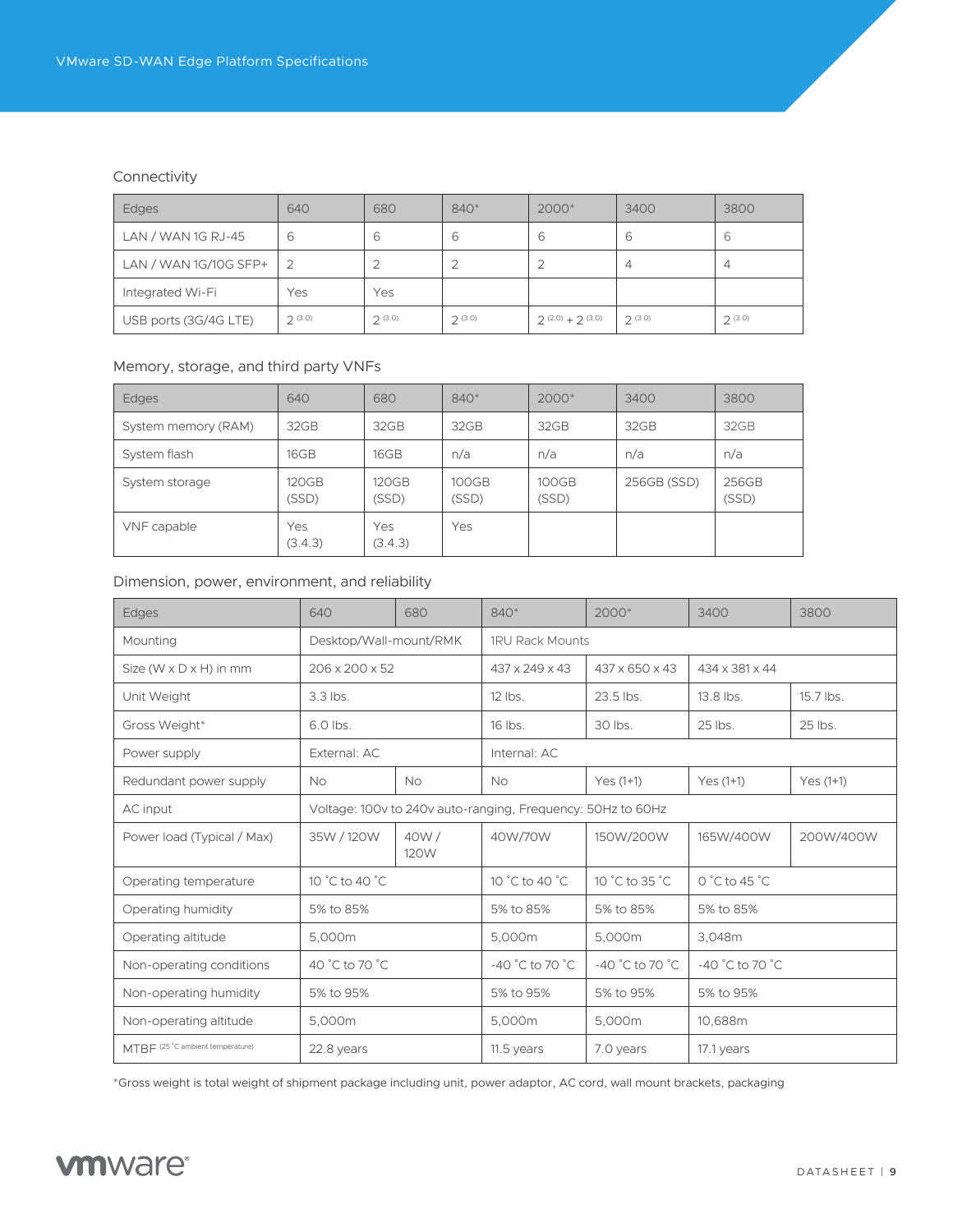#### Connectivity

| Edges                 | 640    | 680    | 840*   | 2000*             | 3400   | 3800   |
|-----------------------|--------|--------|--------|-------------------|--------|--------|
| LAN / WAN 1G RJ-45    | b      | 6      | ь      | 6                 | 6      | 6      |
| LAN / WAN 1G/10G SFP+ |        |        |        | 2                 | 4      | 4      |
| Integrated Wi-Fi      | Yes    | Yes    |        |                   |        |        |
| USB ports (3G/4G LTE) | 2(3.0) | 2(3.0) | 2(3.0) | $2(2.0) + 2(3.0)$ | 2(3.0) | 2(3.0) |

#### Memory, storage, and third party VNFs

| <b>Edges</b>        | 640            | 680                   | $840*$         | 2000*          | 3400        | 3800           |
|---------------------|----------------|-----------------------|----------------|----------------|-------------|----------------|
| System memory (RAM) | 32GB           | 32GB                  | 32GB           | 32GB           | 32GB        | 32GB           |
| System flash        | 16GB           | 16GB                  | n/a            | n/a            | n/a         | n/a            |
| System storage      | 120GB<br>(SSD) | <b>120GB</b><br>(SSD) | 100GB<br>(SSD) | 100GB<br>(SSD) | 256GB (SSD) | 256GB<br>(SSD) |
| VNF capable         | Yes<br>(3.4.3) | Yes<br>(3.4.3)        | Yes            |                |             |                |

#### Dimension, power, environment, and reliability

| Edges                                | 640                        | 680                                                         | 840*                             | $2000*$                    | 3400                             | 3800        |  |
|--------------------------------------|----------------------------|-------------------------------------------------------------|----------------------------------|----------------------------|----------------------------------|-------------|--|
| Mounting                             | Desktop/Wall-mount/RMK     |                                                             | <b>1RU Rack Mounts</b>           |                            |                                  |             |  |
| Size ( $W \times D \times H$ ) in mm | 206 x 200 x 52             |                                                             | 437 x 249 x 43                   | $437 \times 650 \times 43$ | 434 x 381 x 44                   |             |  |
| Unit Weight                          | $3.3$ lbs.                 |                                                             | $12$ lbs.                        | 23.5 lbs.                  | 13.8 lbs.                        | $15.7$ lbs. |  |
| Gross Weight*                        | 6.0 lbs.                   |                                                             | 16 lbs.                          | 30 lbs.                    | 25 lbs.<br>25 lbs.               |             |  |
| Power supply                         | External: AC               |                                                             | Internal: AC                     |                            |                                  |             |  |
| Redundant power supply               | <b>No</b>                  | <b>No</b>                                                   | <b>No</b>                        | Yes $(1+1)$                | $Yes(1+1)$                       |             |  |
| AC input                             |                            | Voltage: 100v to 240v auto-ranging, Frequency: 50Hz to 60Hz |                                  |                            |                                  |             |  |
| Power load (Typical / Max)           | 40W/<br>35W / 120W<br>120W |                                                             | 40W/70W                          | 150W/200W                  | 165W/400W                        | 200W/400W   |  |
| Operating temperature                | 10 °C to 40 °C             |                                                             | 10 °C to 40 °C                   | 10 °C to 35 °C             | $0^{\circ}$ C to 45 $^{\circ}$ C |             |  |
| Operating humidity                   | 5% to 85%                  |                                                             | 5% to 85%                        | 5% to 85%                  | 5% to 85%                        |             |  |
| Operating altitude                   | 5,000m                     |                                                             | 5,000m                           | 5,000m                     | 3,048m                           |             |  |
| Non-operating conditions             | 40 °C to 70 °C             |                                                             | $-40\degree$ C to 70 $\degree$ C | -40 °C to 70 °C            | $-40\degree$ C to 70 $\degree$ C |             |  |
| Non-operating humidity               | 5% to 95%                  |                                                             | 5% to 95%                        | 5% to 95%                  | 5% to 95%                        |             |  |
| Non-operating altitude               | 5,000m                     |                                                             | 5,000m                           | 5,000m                     | 10,688m                          |             |  |
| MTBF (25 °C ambient temperature)     | 22.8 years                 |                                                             | 11.5 years                       | 7.0 years                  | 17.1 years                       |             |  |

\*Gross weight is total weight of shipment package including unit, power adaptor, AC cord, wall mount brackets, packaging

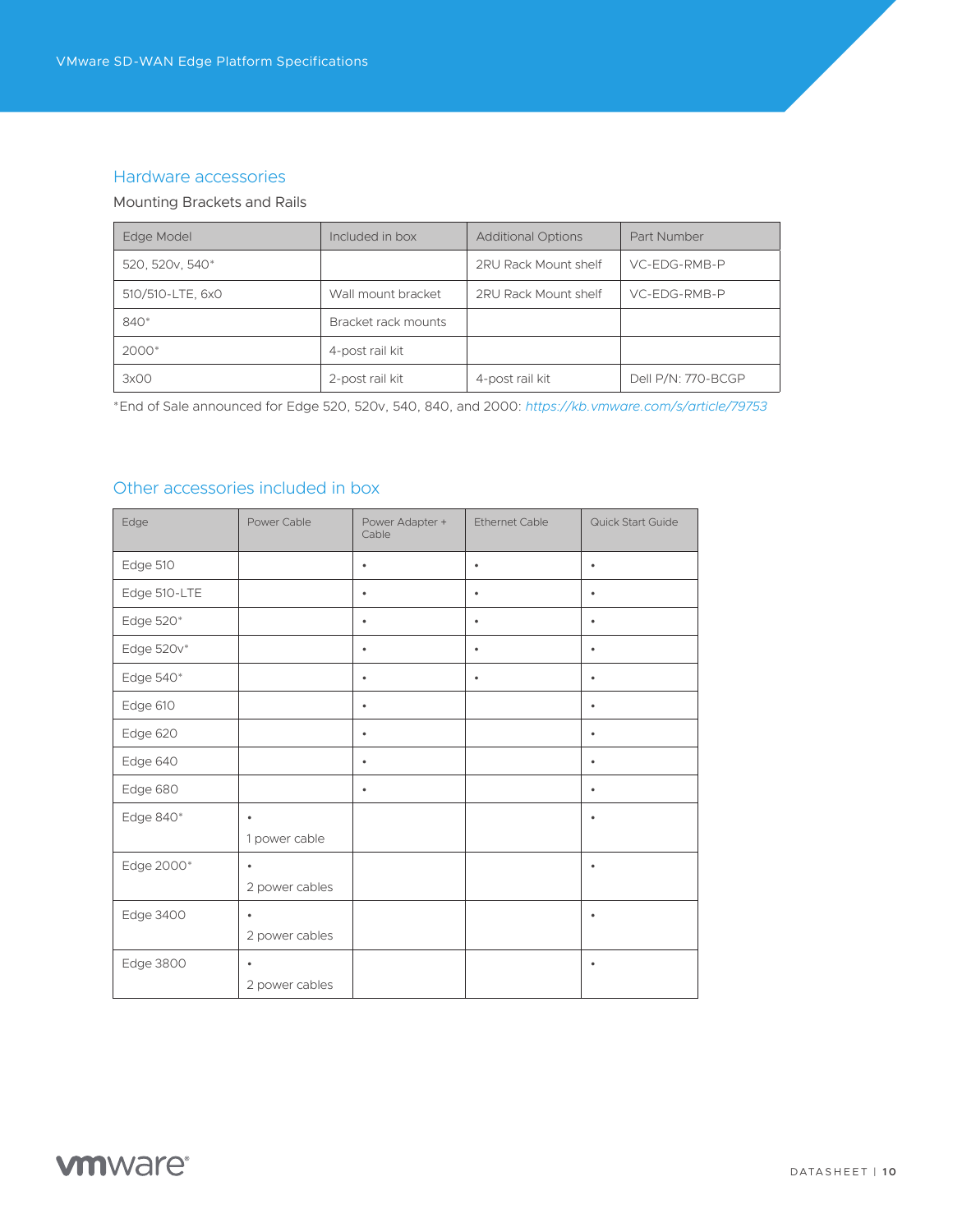#### Hardware accessories

#### Mounting Brackets and Rails

| Edge Model                  | Included in box     | <b>Additional Options</b> | Part Number        |
|-----------------------------|---------------------|---------------------------|--------------------|
| 520, 520v, 540 <sup>*</sup> |                     | 2RU Rack Mount shelf      | VC-EDG-RMB-P       |
| 510/510-LTE, 6x0            | Wall mount bracket  | 2RU Rack Mount shelf      | VC-EDG-RMB-P       |
| 840*                        | Bracket rack mounts |                           |                    |
| 2000*                       | 4-post rail kit     |                           |                    |
| 3x00                        | 2-post rail kit     | 4-post rail kit           | Dell P/N: 770-BCGP |

\*End of Sale announced for Edge 520, 520v, 540, 840, and 2000: *<https://kb.vmware.com/s/article/79753>*

# Other accessories included in box

| Edge         | Power Cable                 | Power Adapter +<br>Cable | <b>Ethernet Cable</b> | Quick Start Guide |
|--------------|-----------------------------|--------------------------|-----------------------|-------------------|
| Edge 510     |                             | $\bullet$                | $\bullet$             | $\bullet$         |
| Edge 510-LTE |                             | $\bullet$                | $\bullet$             | $\bullet$         |
| Edge 520*    |                             | $\bullet$                | $\bullet$             | $\bullet$         |
| Edge 520v*   |                             | $\bullet$                | $\bullet$             | $\bullet$         |
| Edge 540*    |                             | $\bullet$                | $\bullet$             | $\bullet$         |
| Edge 610     |                             | $\bullet$                |                       | $\bullet$         |
| Edge 620     |                             | $\bullet$                |                       | $\bullet$         |
| Edge 640     |                             | $\bullet$                |                       | $\bullet$         |
| Edge 680     |                             | $\bullet$                |                       | $\bullet$         |
| Edge 840*    | $\bullet$<br>1 power cable  |                          |                       | $\bullet$         |
| Edge 2000*   | $\bullet$<br>2 power cables |                          |                       | $\bullet$         |
| Edge 3400    | $\bullet$<br>2 power cables |                          |                       | $\bullet$         |
| Edge 3800    | $\bullet$<br>2 power cables |                          |                       | $\bullet$         |

# **vm**ware<sup>®</sup>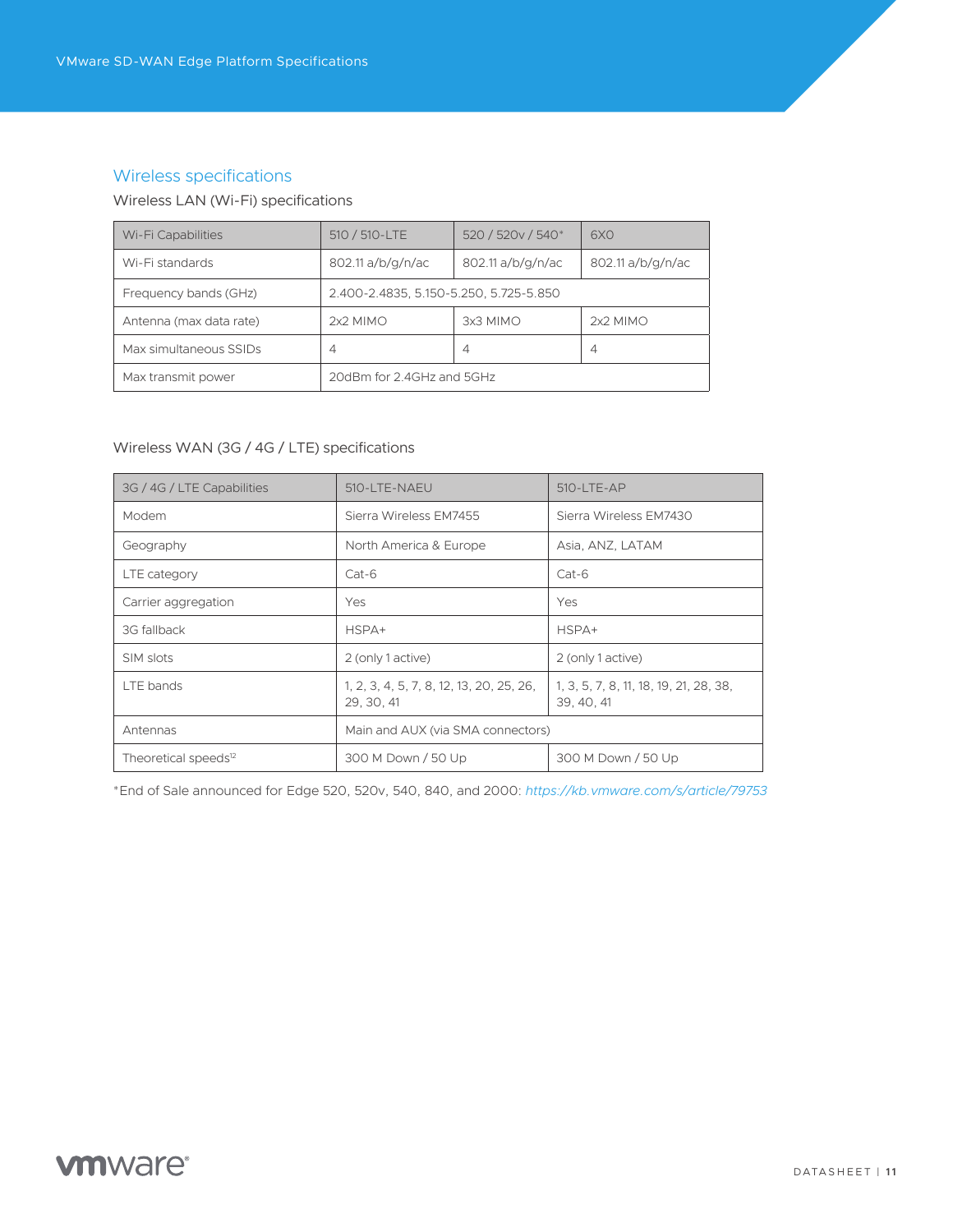# Wireless specifications

#### Wireless LAN (Wi-Fi) specifications

| Wi-Fi Capabilities      | 510 / 510-LTE                          | 520 / 520 v / 540 <sup>*</sup> | 6X <sub>0</sub>   |  |  |  |  |
|-------------------------|----------------------------------------|--------------------------------|-------------------|--|--|--|--|
| Wi-Fi standards         | 802.11 a/b/g/n/ac                      | 802.11 a/b/g/n/ac              | 802.11 a/b/g/n/ac |  |  |  |  |
| Frequency bands (GHz)   | 2.400-2.4835, 5.150-5.250, 5.725-5.850 |                                |                   |  |  |  |  |
| Antenna (max data rate) | $2x2$ MIMO                             | 3x3 MIMO                       | $2x2$ MIMO        |  |  |  |  |
| Max simultaneous SSIDs  | 4                                      | 4                              | $\overline{4}$    |  |  |  |  |
| Max transmit power      | 20dBm for 2.4GHz and 5GHz              |                                |                   |  |  |  |  |

#### Wireless WAN (3G / 4G / LTE) specifications

| 3G / 4G / LTE Capabilities       | 510-LTE-NAEU                                           | $510 - LTE - AP$                                     |
|----------------------------------|--------------------------------------------------------|------------------------------------------------------|
| Modem                            | Sierra Wireless EM7455                                 | Sierra Wireless EM7430                               |
| Geography                        | North America & Europe                                 | Asia, ANZ, LATAM                                     |
| LTE category                     | $Cat-6$                                                | $Cat-6$                                              |
| Carrier aggregation              | Yes                                                    | Yes                                                  |
| 3G fallback                      | HSPA+                                                  | HSPA+                                                |
| SIM slots                        | 2 (only 1 active)                                      | 2 (only 1 active)                                    |
| LTE bands                        | 1, 2, 3, 4, 5, 7, 8, 12, 13, 20, 25, 26,<br>29, 30, 41 | 1, 3, 5, 7, 8, 11, 18, 19, 21, 28, 38,<br>39, 40, 41 |
| Antennas                         | Main and AUX (via SMA connectors)                      |                                                      |
| Theoretical speeds <sup>12</sup> | 300 M Down / 50 Up                                     | 300 M Down / 50 Up                                   |

\*End of Sale announced for Edge 520, 520v, 540, 840, and 2000: *<https://kb.vmware.com/s/article/79753>*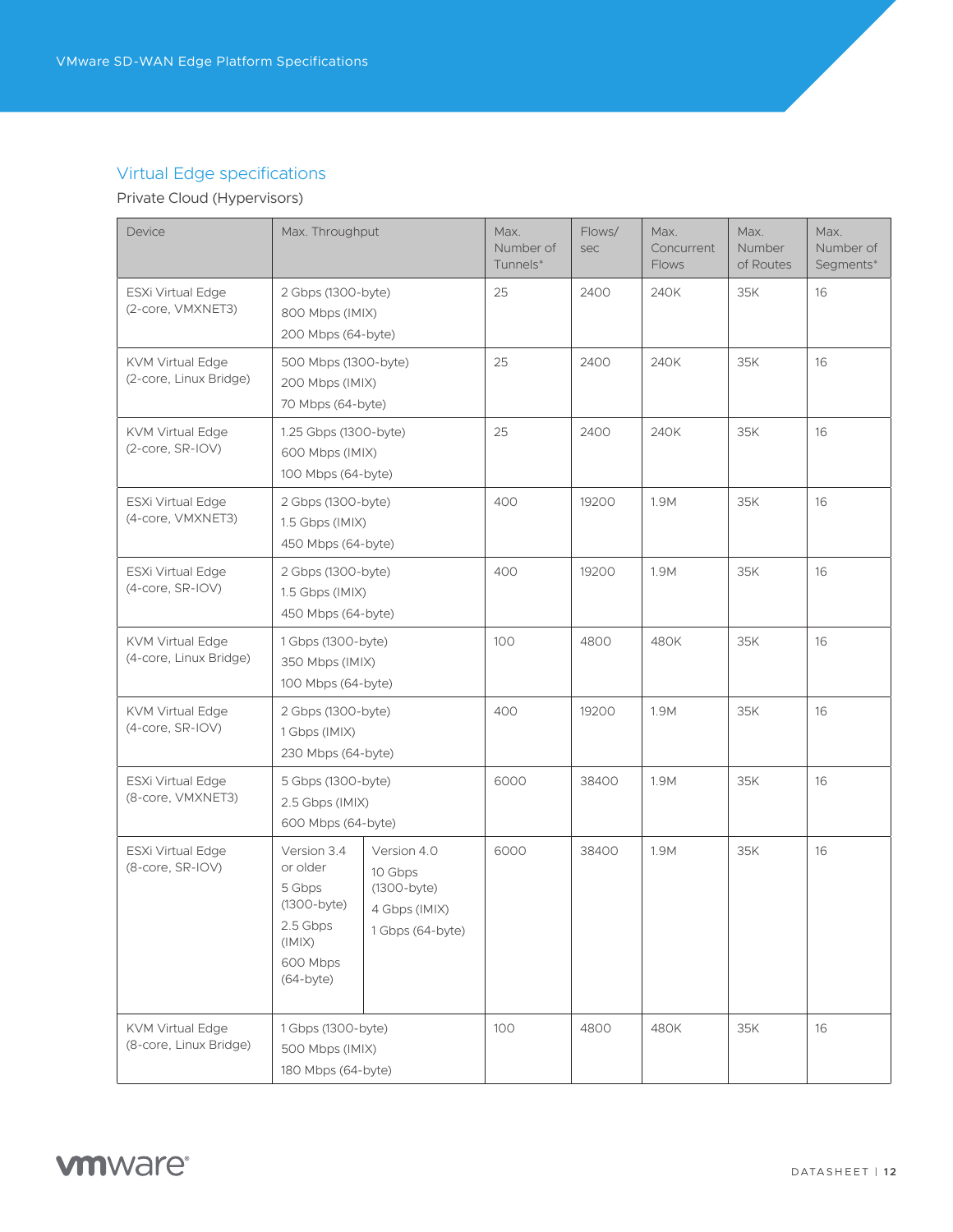# Virtual Edge specifications

# Private Cloud (Hypervisors)

| Device                                            | Max. Throughput                                                                                       |                                                                              | Max.<br>Number of<br>Tunnels* | Flows/<br>sec | Max.<br>Concurrent<br><b>Flows</b> | Max.<br>Number<br>of Routes | Max.<br>Number of<br>Segments* |
|---------------------------------------------------|-------------------------------------------------------------------------------------------------------|------------------------------------------------------------------------------|-------------------------------|---------------|------------------------------------|-----------------------------|--------------------------------|
| ESXi Virtual Edge<br>(2-core, VMXNET3)            | 2 Gbps (1300-byte)<br>800 Mbps (IMIX)<br>200 Mbps (64-byte)                                           |                                                                              | 25                            | 2400          | 240K                               | 35K                         | 16                             |
| <b>KVM Virtual Edge</b><br>(2-core, Linux Bridge) | 500 Mbps (1300-byte)<br>200 Mbps (IMIX)<br>70 Mbps (64-byte)                                          |                                                                              | 25                            | 2400          | 240K                               | 35K                         | 16                             |
| <b>KVM Virtual Edge</b><br>(2-core, SR-IOV)       | 1.25 Gbps (1300-byte)<br>600 Mbps (IMIX)<br>100 Mbps (64-byte)                                        |                                                                              | 25                            | 2400          | 240K                               | 35K                         | 16                             |
| ESXi Virtual Edge<br>(4-core, VMXNET3)            | 2 Gbps (1300-byte)<br>1.5 Gbps (IMIX)<br>450 Mbps (64-byte)                                           |                                                                              | 400                           | 19200         | 1.9M                               | 35K                         | 16                             |
| ESXi Virtual Edge<br>(4-core, SR-IOV)             | 2 Gbps (1300-byte)<br>1.5 Gbps (IMIX)<br>450 Mbps (64-byte)                                           |                                                                              | 400                           | 19200         | 1.9M                               | 35K                         | 16                             |
| <b>KVM Virtual Edge</b><br>(4-core, Linux Bridge) | 1 Gbps (1300-byte)<br>350 Mbps (IMIX)<br>100 Mbps (64-byte)                                           |                                                                              | 100                           | 4800          | 480K                               | 35K                         | 16                             |
| <b>KVM Virtual Edge</b><br>(4-core, SR-IOV)       | 2 Gbps (1300-byte)<br>1 Gbps (IMIX)<br>230 Mbps (64-byte)                                             |                                                                              | 400                           | 19200         | 1.9M                               | 35K                         | 16                             |
| ESXi Virtual Edge<br>(8-core, VMXNET3)            | 5 Gbps (1300-byte)<br>2.5 Gbps (IMIX)<br>600 Mbps (64-byte)                                           |                                                                              | 6000                          | 38400         | 1.9M                               | 35K                         | 16                             |
| ESXi Virtual Edge<br>(8-core, SR-IOV)             | Version 3.4<br>or older<br>5 Gbps<br>(1300-byte)<br>2.5 Gbps<br>(IMIX)<br>600 Mbps<br>$(64$ -byte $)$ | Version 4.0<br>10 Gbps<br>$(1300-byte)$<br>4 Gbps (IMIX)<br>1 Gbps (64-byte) | 6000                          | 38400         | 1.9M                               | 35K                         | 16                             |
| <b>KVM Virtual Edge</b><br>(8-core, Linux Bridge) | 1 Gbps (1300-byte)<br>500 Mbps (IMIX)<br>180 Mbps (64-byte)                                           |                                                                              | 100                           | 4800          | 480K                               | 35K                         | 16                             |

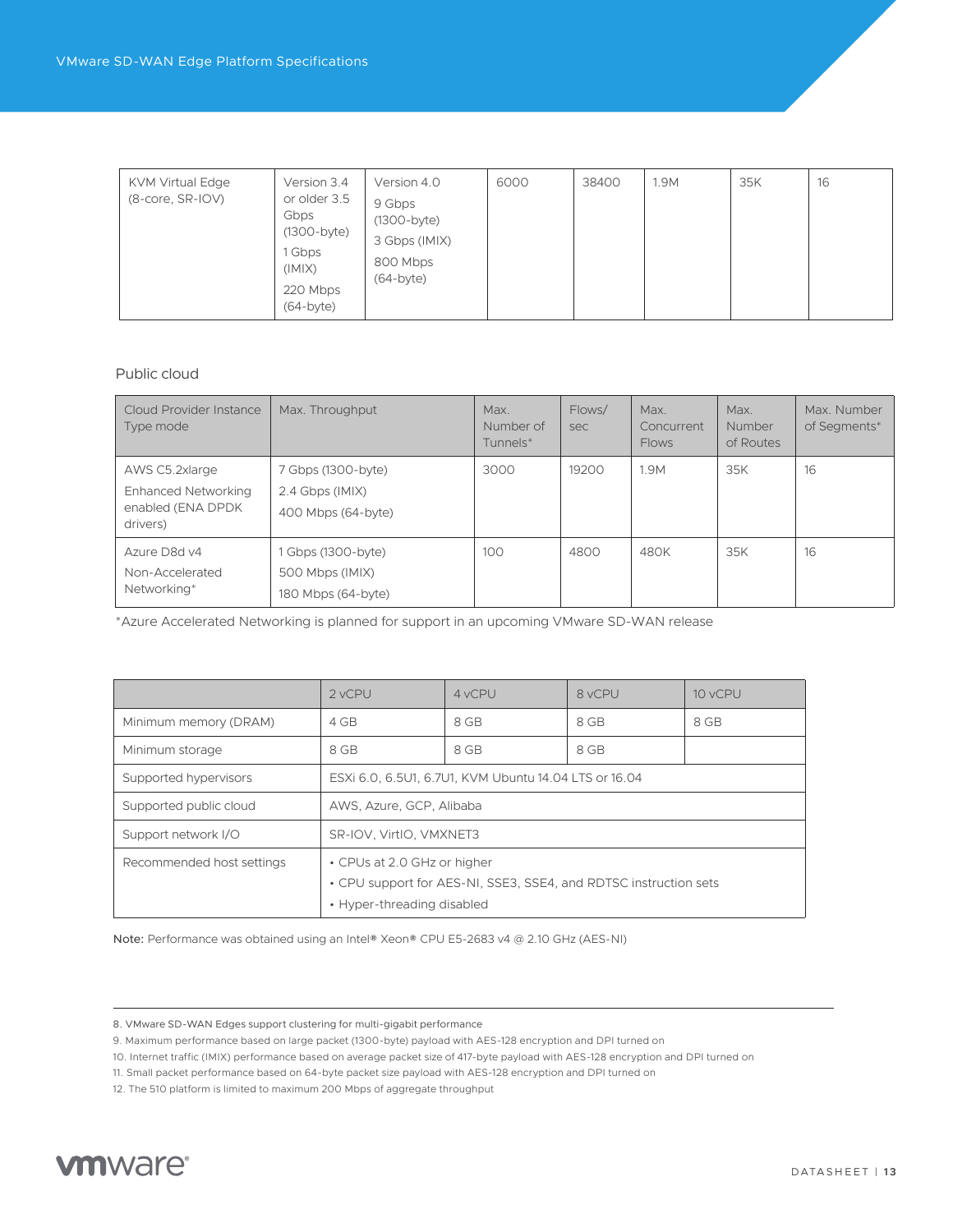| <b>KVM Virtual Edge</b><br>$(8$ -core, $SR$ -IOV) | Version 3.4<br>or older 3.5<br>Gbps<br>$(1300-byte)$<br>1 Gbps<br>(IMIX)<br>220 Mbps<br>$(64$ -byte $)$ | Version 4.0<br>9 Gbps<br>(1300-byte)<br>3 Gbps (IMIX)<br>800 Mbps<br>$(64-bvte)$ | 6000 | 38400 | 1.9M | 35K | 16 |
|---------------------------------------------------|---------------------------------------------------------------------------------------------------------|----------------------------------------------------------------------------------|------|-------|------|-----|----|
|---------------------------------------------------|---------------------------------------------------------------------------------------------------------|----------------------------------------------------------------------------------|------|-------|------|-----|----|

#### Public cloud

| Cloud Provider Instance<br>Type mode                                          | Max. Throughput                                             | Max.<br>Number of<br>Tunnels* | Flows/<br>sec | Max.<br>Concurrent<br><b>Flows</b> | Max.<br>Number<br>of Routes | Max. Number<br>of Segments* |
|-------------------------------------------------------------------------------|-------------------------------------------------------------|-------------------------------|---------------|------------------------------------|-----------------------------|-----------------------------|
| AWS C5.2xlarge<br><b>Enhanced Networking</b><br>enabled (ENA DPDK<br>drivers) | 7 Gbps (1300-byte)<br>2.4 Gbps (IMIX)<br>400 Mbps (64-byte) | 3000                          | 19200         | 1.9M                               | 35K                         | 16                          |
| Azure D8d v4<br>Non-Accelerated<br>Networking*                                | 1 Gbps (1300-byte)<br>500 Mbps (IMIX)<br>180 Mbps (64-byte) | 100                           | 4800          | 480K                               | 35K                         | 16                          |

\*Azure Accelerated Networking is planned for support in an upcoming VMware SD-WAN release

|                           | 2 vCPU                                                    | 4 vCPU                                                           | 8 vCPU | 10 vCPU |  |  |  |  |
|---------------------------|-----------------------------------------------------------|------------------------------------------------------------------|--------|---------|--|--|--|--|
| Minimum memory (DRAM)     | 4 GB                                                      | 8 GB                                                             | 8 GB   | 8 GB    |  |  |  |  |
| Minimum storage           | 8 GB                                                      | 8 GB                                                             | 8 GB   |         |  |  |  |  |
| Supported hypervisors     | ESXi 6.0, 6.5U1, 6.7U1, KVM Ubuntu 14.04 LTS or 16.04     |                                                                  |        |         |  |  |  |  |
| Supported public cloud    | AWS, Azure, GCP, Alibaba                                  |                                                                  |        |         |  |  |  |  |
| Support network I/O       | SR-IOV, VirtIO, VMXNET3                                   |                                                                  |        |         |  |  |  |  |
| Recommended host settings | • CPUs at 2.0 GHz or higher<br>• Hyper-threading disabled | • CPU support for AES-NI, SSE3, SSE4, and RDTSC instruction sets |        |         |  |  |  |  |

Note: Performance was obtained using an Intel® Xeon® CPU E5-2683 v4 @ 2.10 GHz (AES-NI)

<sup>12.</sup> The 510 platform is limited to maximum 200 Mbps of aggregate throughput



<sup>8.</sup> VMware SD-WAN Edges support clustering for multi-gigabit performance

<sup>9.</sup> Maximum performance based on large packet (1300-byte) payload with AES-128 encryption and DPI turned on

<sup>10.</sup> Internet traffic (IMIX) performance based on average packet size of 417-byte payload with AES-128 encryption and DPI turned on

<sup>11.</sup> Small packet performance based on 64-byte packet size payload with AES-128 encryption and DPI turned on